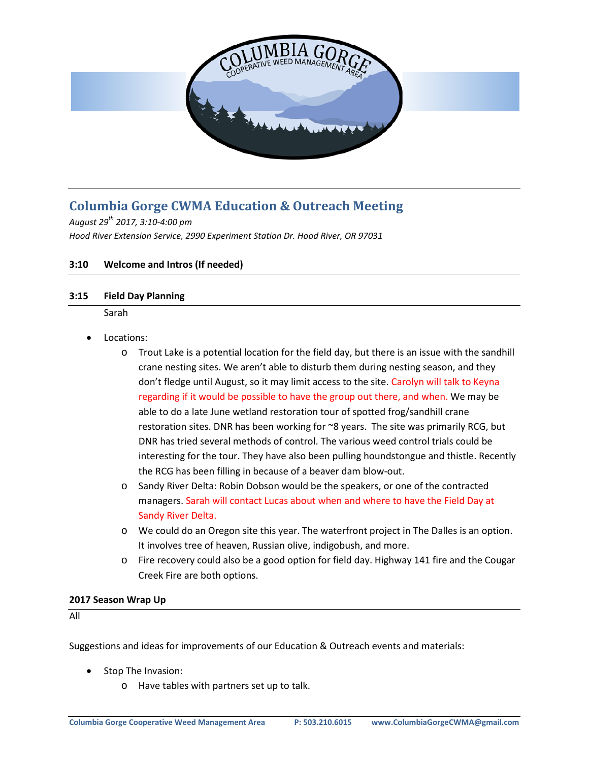

# **Columbia Gorge CWMA Education & Outreach Meeting**

*August 29th 2017, 3:10-4:00 pm Hood River Extension Service, 2990 Experiment Station Dr. Hood River, OR 97031*

### **3:10 Welcome and Intros (If needed)**

### **3:15 Field Day Planning**

Sarah

- Locations:
	- $\circ$  Trout Lake is a potential location for the field day, but there is an issue with the sandhill crane nesting sites. We aren't able to disturb them during nesting season, and they don't fledge until August, so it may limit access to the site. Carolyn will talk to Keyna regarding if it would be possible to have the group out there, and when. We may be able to do a late June wetland restoration tour of spotted frog/sandhill crane restoration sites. DNR has been working for ~8 years. The site was primarily RCG, but DNR has tried several methods of control. The various weed control trials could be interesting for the tour. They have also been pulling houndstongue and thistle. Recently the RCG has been filling in because of a beaver dam blow-out.
	- o Sandy River Delta: Robin Dobson would be the speakers, or one of the contracted managers. Sarah will contact Lucas about when and where to have the Field Day at Sandy River Delta.
	- o We could do an Oregon site this year. The waterfront project in The Dalles is an option. It involves tree of heaven, Russian olive, indigobush, and more.
	- o Fire recovery could also be a good option for field day. Highway 141 fire and the Cougar Creek Fire are both options.

#### **2017 Season Wrap Up**

All

Suggestions and ideas for improvements of our Education & Outreach events and materials:

- Stop The Invasion:
	- o Have tables with partners set up to talk.